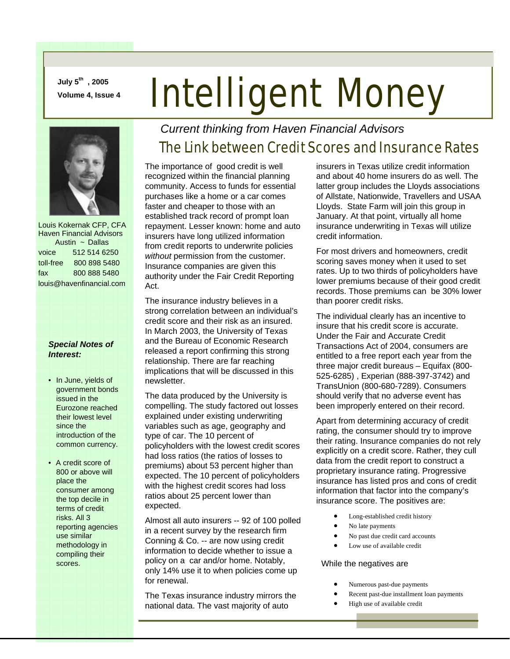**July 5th , 2005** 

# **July 5<sup>cm</sup>, 2005**<br>Volume 4, Issue 4 **Intelligent Money**



 Louis Kokernak CFP, CFA Haven Financial Advisors Austin ~ Dallas voice 512 514 6250 toll-free 800 898 5480 fax 800 888 5480 louis@havenfinancial.com

#### *Special Notes of Interest:*

- In June, yields of government bonds issued in the Eurozone reached their lowest level since the introduction of the common currency.
- A credit score of 800 or above will place the consumer among the top decile in terms of credit risks. All 3 reporting agencies use similar methodology in compiling their scores.

### *Current thinking from Haven Financial Advisors*

## The Link between Credit Scores and Insurance Rates

The importance of good credit is well recognized within the financial planning community. Access to funds for essential purchases like a home or a car comes faster and cheaper to those with an established track record of prompt loan repayment. Lesser known: home and auto insurers have long utilized information from credit reports to underwrite policies *without* permission from the customer. Insurance companies are given this authority under the Fair Credit Reporting Act.

The insurance industry believes in a strong correlation between an individual's credit score and their risk as an insured. In March 2003, the University of Texas and the Bureau of Economic Research released a report confirming this strong relationship. There are far reaching implications that will be discussed in this newsletter.

The data produced by the University is compelling. The study factored out losses explained under existing underwriting variables such as age, geography and type of car. The 10 percent of policyholders with the lowest credit scores had loss ratios (the ratios of losses to premiums) about 53 percent higher than expected. The 10 percent of policyholders with the highest credit scores had loss ratios about 25 percent lower than expected.

Almost all auto insurers -- 92 of 100 polled in a recent survey by the research firm Conning & Co. -- are now using credit information to decide whether to issue a policy on a car and/or home. Notably, only 14% use it to when policies come up for renewal.

The Texas insurance industry mirrors the national data. The vast majority of auto

insurers in Texas utilize credit information and about 40 home insurers do as well. The latter group includes the Lloyds associations of Allstate, Nationwide, Travellers and USAA Lloyds. State Farm will join this group in January. At that point, virtually all home insurance underwriting in Texas will utilize credit information.

For most drivers and homeowners, credit scoring saves money when it used to set rates. Up to two thirds of policyholders have lower premiums because of their good credit records. Those premiums can be 30% lower than poorer credit risks.

The individual clearly has an incentive to insure that his credit score is accurate. Under the Fair and Accurate Credit Transactions Act of 2004, consumers are entitled to a free report each year from the three major credit bureaus – Equifax (800- 525-6285) , Experian (888-397-3742) and TransUnion (800-680-7289). Consumers should verify that no adverse event has been improperly entered on their record.

Apart from determining accuracy of credit rating, the consumer should try to improve their rating. Insurance companies do not rely explicitly on a credit score. Rather, they cull data from the credit report to construct a proprietary insurance rating. Progressive insurance has listed pros and cons of credit information that factor into the company's insurance score. The positives are:

- Long-established credit history
- No late payments
- No past due credit card accounts
- Low use of available credit

#### While the negatives are

- Numerous past-due payments
- Recent past-due installment loan payments
- High use of available credit